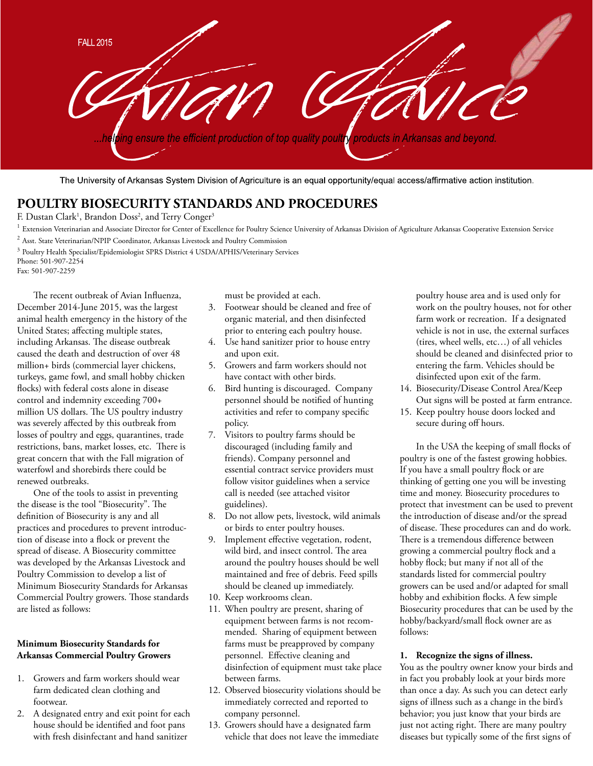**FALL 2015** ing ensure the efficient production of top quality poultry products in Arkansas and beyond.

The University of Arkansas System Division of Agriculture is an equal opportunity/equal access/affirmative action institution.

# **POULTRY BIOSECURITY STANDARDS AND PROCEDURES**

F. Dustan Clark<sup>1</sup>, Brandon Doss<sup>2</sup>, and Terry Conger<sup>3</sup>

- $^1$  Extension Veterinarian and Associate Director for Center of Excellence for Poultry Science University of Arkansas Division of Agriculture Arkansas Cooperative Extension Service
- <sup>2</sup> Asst. State Veterinarian/NPIP Coordinator, Arkansas Livestock and Poultry Commission
- <sup>3</sup> Poultry Health Specialist/Epidemiologist SPRS District 4 USDA/APHIS/Veterinary Services Phone: 501-907-2254

Fax: 501-907-2259

The recent outbreak of Avian Influenza, December 2014-June 2015, was the largest animal health emergency in the history of the United States; affecting multiple states, including Arkansas. The disease outbreak caused the death and destruction of over 48 million+ birds (commercial layer chickens, turkeys, game fowl, and small hobby chicken flocks) with federal costs alone in disease control and indemnity exceeding 700+ million US dollars. The US poultry industry was severely affected by this outbreak from losses of poultry and eggs, quarantines, trade restrictions, bans, market losses, etc. There is great concern that with the Fall migration of waterfowl and shorebirds there could be renewed outbreaks.

 One of the tools to assist in preventing the disease is the tool "Biosecurity". The definition of Biosecurity is any and all practices and procedures to prevent introduction of disease into a flock or prevent the spread of disease. A Biosecurity committee was developed by the Arkansas Livestock and Poultry Commission to develop a list of Minimum Biosecurity Standards for Arkansas Commercial Poultry growers. Those standards are listed as follows:

### **Minimum Biosecurity Standards for Arkansas Commercial Poultry Growers**

- 1. Growers and farm workers should wear farm dedicated clean clothing and footwear.
- 2. A designated entry and exit point for each house should be identified and foot pans with fresh disinfectant and hand sanitizer

must be provided at each.

- 3. Footwear should be cleaned and free of organic material, and then disinfected prior to entering each poultry house.
- 4. Use hand sanitizer prior to house entry and upon exit.
- 5. Growers and farm workers should not have contact with other birds.
- 6. Bird hunting is discouraged. Company personnel should be notified of hunting activities and refer to company specific policy.
- 7. Visitors to poultry farms should be discouraged (including family and friends). Company personnel and essential contract service providers must follow visitor guidelines when a service call is needed (see attached visitor guidelines).
- 8. Do not allow pets, livestock, wild animals or birds to enter poultry houses.
- 9. Implement effective vegetation, rodent, wild bird, and insect control. The area around the poultry houses should be well maintained and free of debris. Feed spills should be cleaned up immediately.
- 10. Keep workrooms clean.
- 11. When poultry are present, sharing of equipment between farms is not recommended. Sharing of equipment between farms must be preapproved by company personnel. Effective cleaning and disinfection of equipment must take place between farms.
- 12. Observed biosecurity violations should be immediately corrected and reported to company personnel.
- 13. Growers should have a designated farm vehicle that does not leave the immediate

poultry house area and is used only for work on the poultry houses, not for other farm work or recreation. If a designated vehicle is not in use, the external surfaces (tires, wheel wells, etc…) of all vehicles should be cleaned and disinfected prior to entering the farm. Vehicles should be disinfected upon exit of the farm.

- 14. Biosecurity/Disease Control Area/Keep Out signs will be posted at farm entrance.
- 15. Keep poultry house doors locked and secure during off hours.

In the USA the keeping of small flocks of poultry is one of the fastest growing hobbies. If you have a small poultry flock or are thinking of getting one you will be investing time and money. Biosecurity procedures to protect that investment can be used to prevent the introduction of disease and/or the spread of disease. These procedures can and do work. There is a tremendous difference between growing a commercial poultry flock and a hobby flock; but many if not all of the standards listed for commercial poultry growers can be used and/or adapted for small hobby and exhibition flocks. A few simple Biosecurity procedures that can be used by the hobby/backyard/small flock owner are as follows:

#### **1. Recognize the signs of illness.**

You as the poultry owner know your birds and in fact you probably look at your birds more than once a day. As such you can detect early signs of illness such as a change in the bird's behavior; you just know that your birds are just not acting right. There are many poultry diseases but typically some of the first signs of